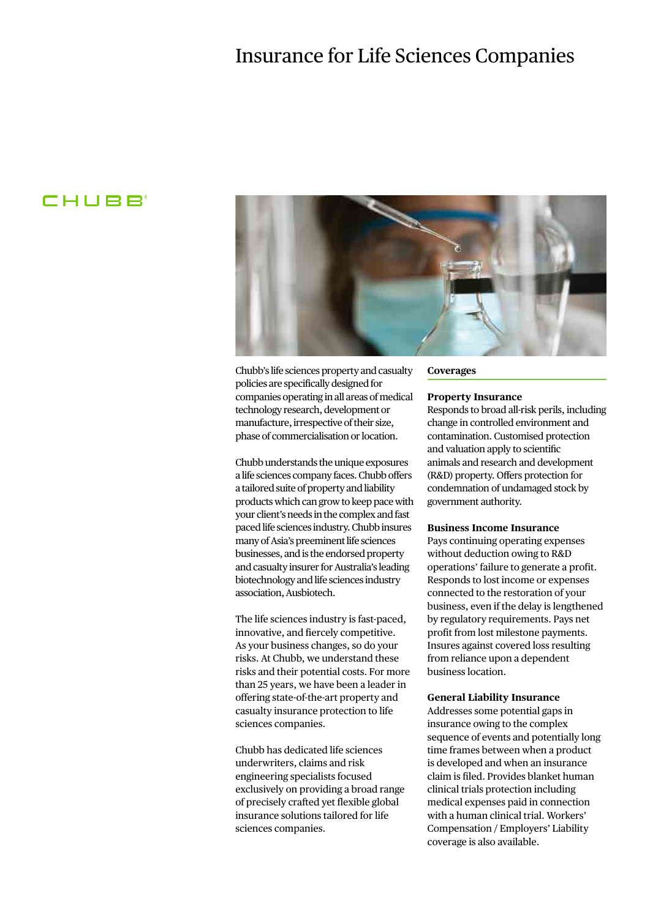# Insurance for Life Sciences Companies

# **CHUBB**



Chubb's life sciences property and casualty policies are specifically designed for companies operating in all areas of medical technology research, development or manufacture, irrespective of their size, phase of commercialisation or location.

Chubb understands the unique exposures a life sciences company faces. Chubb offers a tailored suite of property and liability products which can grow to keep pace with your client's needs in the complex and fast paced life sciences industry. Chubb insures many of Asia's preeminent life sciences businesses, and is the endorsed property and casualty insurer for Australia's leading biotechnology and life sciences industry association, Ausbiotech.

The life sciences industry is fast-paced, innovative, and fiercely competitive. As your business changes, so do your risks. At Chubb, we understand these risks and their potential costs. For more than 25 years, we have been a leader in offering state-of-the-art property and casualty insurance protection to life sciences companies.

Chubb has dedicated life sciences underwriters, claims and risk engineering specialists focused exclusively on providing a broad range of precisely crafted yet flexible global insurance solutions tailored for life sciences companies.

#### **Coverages**

#### **Property Insurance**

Responds to broad all-risk perils, including change in controlled environment and contamination. Customised protection and valuation apply to scientific animals and research and development (R&D) property. Offers protection for condemnation of undamaged stock by government authority.

#### **Business Income Insurance**

Pays continuing operating expenses without deduction owing to R&D operations' failure to generate a profit. Responds to lost income or expenses connected to the restoration of your business, even if the delay is lengthened by regulatory requirements. Pays net profit from lost milestone payments. Insures against covered loss resulting from reliance upon a dependent business location.

## **General Liability Insurance**

Addresses some potential gaps in insurance owing to the complex sequence of events and potentially long time frames between when a product is developed and when an insurance claim is filed. Provides blanket human clinical trials protection including medical expenses paid in connection with a human clinical trial. Workers' Compensation / Employers' Liability coverage is also available.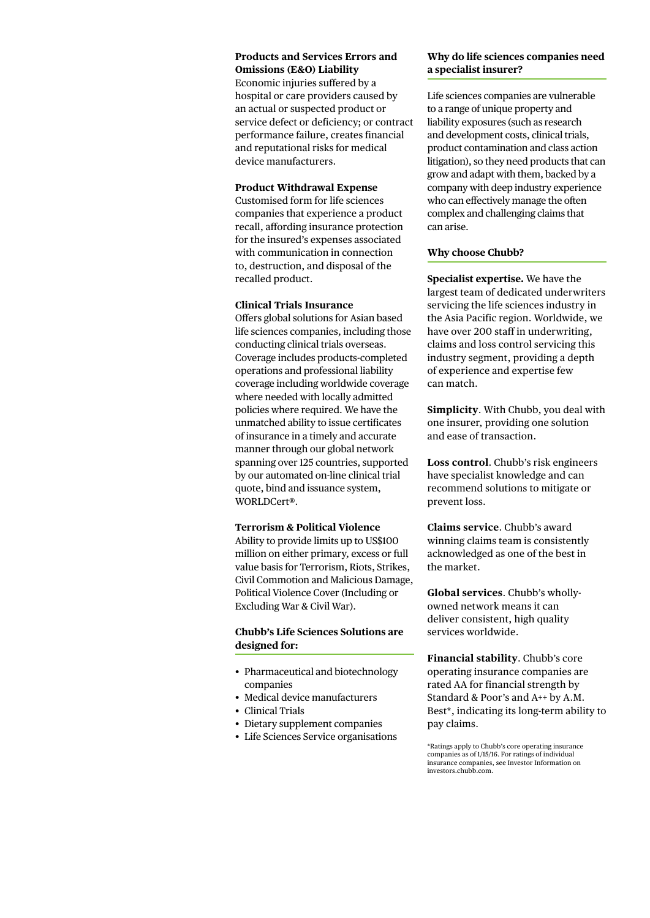#### **Products and Services Errors and Omissions (E&O) Liability**

Economic injuries suffered by a hospital or care providers caused by an actual or suspected product or service defect or deficiency; or contract performance failure, creates financial and reputational risks for medical device manufacturers.

## **Product Withdrawal Expense**

Customised form for life sciences companies that experience a product recall, affording insurance protection for the insured's expenses associated with communication in connection to, destruction, and disposal of the recalled product.

#### **Clinical Trials Insurance**

Offers global solutions for Asian based life sciences companies, including those conducting clinical trials overseas. Coverage includes products-completed operations and professional liability coverage including worldwide coverage where needed with locally admitted policies where required. We have the unmatched ability to issue certificates of insurance in a timely and accurate manner through our global network spanning over 125 countries, supported by our automated on-line clinical trial quote, bind and issuance system, WORLDCert®.

#### **Terrorism & Political Violence**

Ability to provide limits up to US\$100 million on either primary, excess or full value basis for Terrorism, Riots, Strikes, Civil Commotion and Malicious Damage, Political Violence Cover (Including or Excluding War & Civil War).

## **Chubb's Life Sciences Solutions are designed for:**

- Pharmaceutical and biotechnology companies
- Medical device manufacturers
- Clinical Trials
- Dietary supplement companies
- • Life Sciences Service organisations

## **Why do life sciences companies need a specialist insurer?**

Life sciences companies are vulnerable to a range of unique property and liability exposures (such as research and development costs, clinical trials, product contamination and class action litigation), so they need products that can grow and adapt with them, backed by a company with deep industry experience who can effectively manage the often complex and challenging claims that can arise.

## **Why choose Chubb?**

**Specialist expertise.** We have the largest team of dedicated underwriters servicing the life sciences industry in the Asia Pacific region. Worldwide, we have over 200 staff in underwriting, claims and loss control servicing this industry segment, providing a depth of experience and expertise few can match.

**Simplicity**. With Chubb, you deal with one insurer, providing one solution and ease of transaction.

**Loss control**. Chubb's risk engineers have specialist knowledge and can recommend solutions to mitigate or prevent loss.

**Claims service**. Chubb's award winning claims team is consistently acknowledged as one of the best in the market.

**Global services**. Chubb's whollyowned network means it can deliver consistent, high quality services worldwide.

**Financial stability**. Chubb's core operating insurance companies are rated AA for financial strength by Standard & Poor's and A++ by A.M. Best\*, indicating its long-term ability to pay claims.

\*Ratings apply to Chubb's core operating insurance companies as of 1/15/16. For ratings of individual insurance companies, see Investor Information on investors.chubb.com.